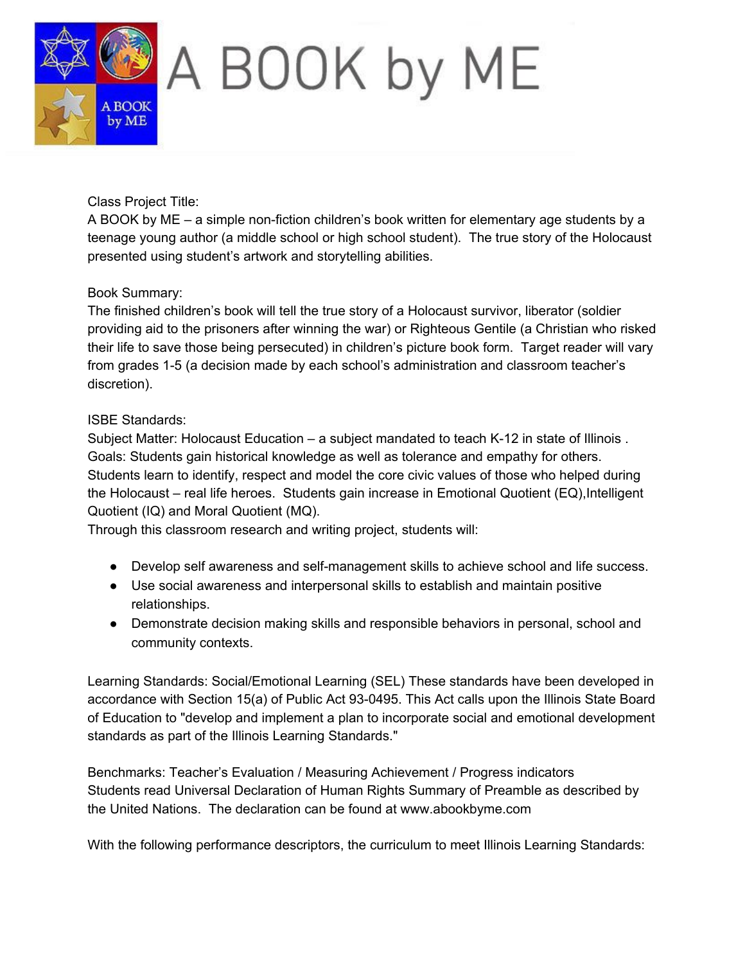

Class Project Title:

A BOOK by  $ME - a$  simple non-fiction children's book written for elementary age students by a teenage young author (a middle school or high school student). The true story of the Holocaust presented using student's artwork and storytelling abilities.

#### Book Summary:

The finished children's book will tell the true story of a Holocaust survivor, liberator (soldier providing aid to the prisoners after winning the war) or Righteous Gentile (a Christian who risked their life to save those being persecuted) in children's picture book form. Target reader will vary from grades 1-5 (a decision made by each school's administration and classroom teacher's discretion).

### ISBE Standards:

Subject Matter: Holocaust Education – a subject mandated to teach K-12 in state of Illinois. Goals: Students gain historical knowledge as well as tolerance and empathy for others. Students learn to identify, respect and model the core civic values of those who helped during the Holocaust – real life heroes. Students gain increase in Emotional Quotient (EQ), Intelligent Quotient (IQ) and Moral Quotient (MQ).

Through this classroom research and writing project, students will:

- Develop self awareness and self-management skills to achieve school and life success.
- Use social awareness and interpersonal skills to establish and maintain positive relationships.
- Demonstrate decision making skills and responsible behaviors in personal, school and community contexts.

Learning Standards: Social/Emotional Learning (SEL) These standards have been developed in accordance with Section 15(a) of Public Act 93-0495. This Act calls upon the Illinois State Board of Education to "develop and implement a plan to incorporate social and emotional development standards as part of the Illinois Learning Standards."

Benchmarks: Teacher's Evaluation / Measuring Achievement / Progress indicators Students read Universal Declaration of Human Rights Summary of Preamble as described by the United Nations. The declaration can be found at www.abookbyme.com

With the following performance descriptors, the curriculum to meet Illinois Learning Standards: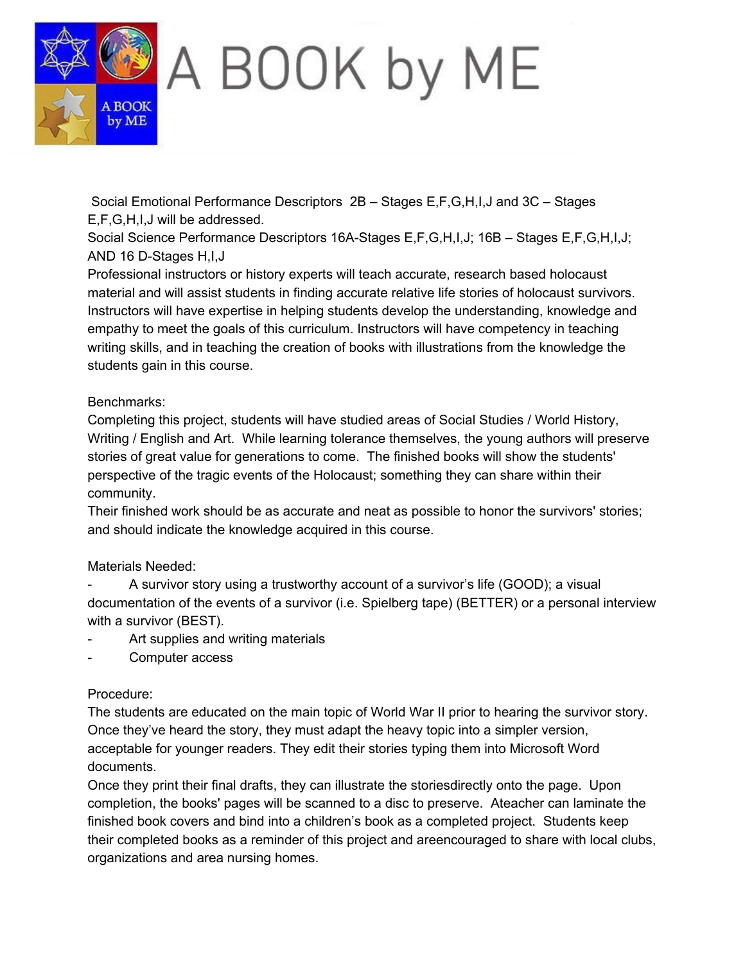

Social Emotional Performance Descriptors 2B – Stages E,F,G,H,I,J and 3C – Stages E,F,G,H,I,J will be addressed.

Social Science Performance Descriptors 16A-Stages E,F,G,H,I,J; 16B - Stages E,F,G,H,I,J; AND 16 D-Stages  $H, I, J$ 

Professional instructors or history experts will teach accurate, research based holocaust material and will assist students in finding accurate relative life stories of holocaust survivors. Instructors will have expertise in helping students develop the understanding, knowledge and empathy to meet the goals of this curriculum. Instructors will have competency in teaching writing skills, and in teaching the creation of books with illustrations from the knowledge the students gain in this course.

### Benchmarks:

Completing this project, students will have studied areas of Social Studies / World History, Writing / English and Art. While learning tolerance themselves, the young authors will preserve stories of great value for generations to come. The finished books will show the students' perspective of the tragic events of the Holocaust; something they can share within their community.

Their finished work should be as accurate and neat as possible to honor the survivors' stories; and should indicate the knowledge acquired in this course.

# Materials Needed:

 A survivor story using a trustworthy account of a survivor's life (GOOD); a visual documentation of the events of a survivor (i.e. Spielberg tape) (BETTER) or a personal interview with a survivor (BEST).

- Art supplies and writing materials
- Computer access

# Procedure:

The students are educated on the main topic of World War II prior to hearing the survivor story. Once they've heard the story, they must adapt the heavy topic into a simpler version, acceptable for younger readers. They edit their stories typing them into Microsoft Word documents.

Once they print their final drafts, they can illustrate the storiesdirectly onto the page. Upon completion, the books' pages will be scanned to a disc to preserve. Ateacher can laminate the finished book covers and bind into a children's book as a completed project. Students keep their completed books as a reminder of this project and areencouraged to share with local clubs, organizations and area nursing homes.